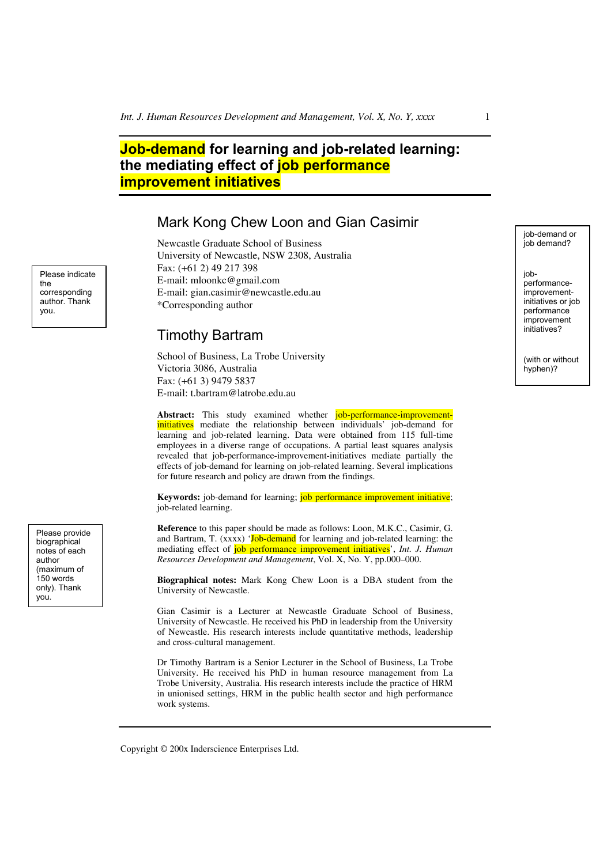# **Job-demand for learning and job-related learning: the mediating effect of job performance improvement initiatives**

# Mark Kong Chew Loon and Gian Casimir

Newcastle Graduate School of Business University of Newcastle, NSW 2308, Australia Fax: (+61 2) 49 217 398 E-mail: mloonkc@gmail.com E-mail: gian.casimir@newcastle.edu.au \*Corresponding author

# Timothy Bartram

School of Business, La Trobe University Victoria 3086, Australia Fax: (+61 3) 9479 5837 E-mail: t.bartram@latrobe.edu.au

**Abstract:** This study examined whether **job-performance-improvement**initiatives mediate the relationship between individuals' job-demand for learning and job-related learning. Data were obtained from 115 full-time employees in a diverse range of occupations. A partial least squares analysis revealed that job-performance-improvement-initiatives mediate partially the effects of job-demand for learning on job-related learning. Several implications for future research and policy are drawn from the findings.

**Keywords:** job-demand for learning; job performance improvement initiative; job-related learning.

**Reference** to this paper should be made as follows: Loon, M.K.C., Casimir, G. and Bartram, T. (xxxx) 'Job-demand for learning and job-related learning: the mediating effect of job performance improvement initiatives', *Int. J. Human Resources Development and Management*, Vol. X, No. Y, pp.000–000.

**Biographical notes:** Mark Kong Chew Loon is a DBA student from the University of Newcastle.

Gian Casimir is a Lecturer at Newcastle Graduate School of Business, University of Newcastle. He received his PhD in leadership from the University of Newcastle. His research interests include quantitative methods, leadership and cross-cultural management.

Dr Timothy Bartram is a Senior Lecturer in the School of Business, La Trobe University. He received his PhD in human resource management from La Trobe University, Australia. His research interests include the practice of HRM in unionised settings, HRM in the public health sector and high performance work systems.

Please indicate the corresponding author. Thank you.

Please provide biographical notes of each author (maximum of 150 words only). Thank you.

Copyright © 200x Inderscience Enterprises Ltd.

job-demand or job demand?

jobperformanceimprovementinitiatives or job performance improvement initiatives?

(with or without hyphen)?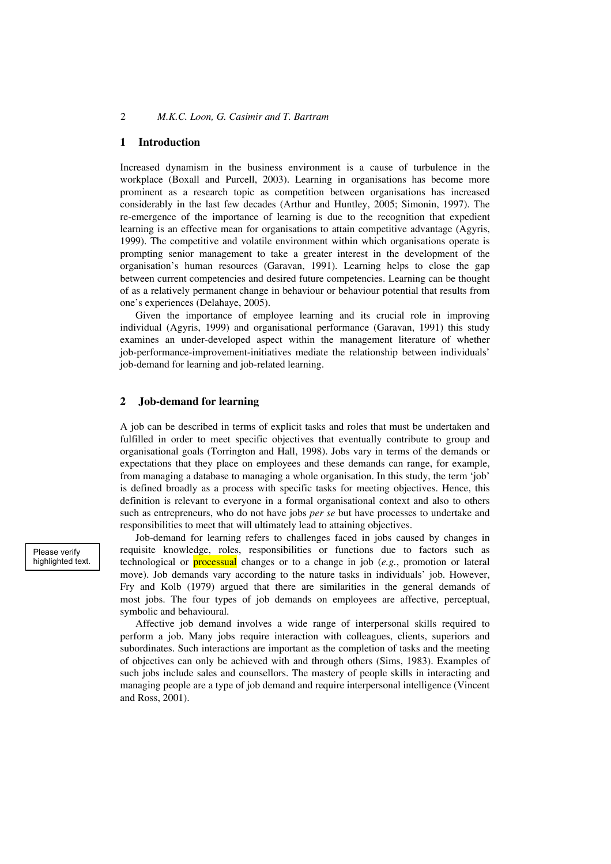#### **1 Introduction**

Increased dynamism in the business environment is a cause of turbulence in the workplace (Boxall and Purcell, 2003). Learning in organisations has become more prominent as a research topic as competition between organisations has increased considerably in the last few decades (Arthur and Huntley, 2005; Simonin, 1997). The re-emergence of the importance of learning is due to the recognition that expedient learning is an effective mean for organisations to attain competitive advantage (Agyris, 1999). The competitive and volatile environment within which organisations operate is prompting senior management to take a greater interest in the development of the organisation's human resources (Garavan, 1991). Learning helps to close the gap between current competencies and desired future competencies. Learning can be thought of as a relatively permanent change in behaviour or behaviour potential that results from one's experiences (Delahaye, 2005).

Given the importance of employee learning and its crucial role in improving individual (Agyris, 1999) and organisational performance (Garavan, 1991) this study examines an under-developed aspect within the management literature of whether job-performance-improvement-initiatives mediate the relationship between individuals' job-demand for learning and job-related learning.

### **2 Job-demand for learning**

A job can be described in terms of explicit tasks and roles that must be undertaken and fulfilled in order to meet specific objectives that eventually contribute to group and organisational goals (Torrington and Hall, 1998). Jobs vary in terms of the demands or expectations that they place on employees and these demands can range, for example, from managing a database to managing a whole organisation. In this study, the term 'job' is defined broadly as a process with specific tasks for meeting objectives. Hence, this definition is relevant to everyone in a formal organisational context and also to others such as entrepreneurs, who do not have jobs *per se* but have processes to undertake and responsibilities to meet that will ultimately lead to attaining objectives.

Job-demand for learning refers to challenges faced in jobs caused by changes in requisite knowledge, roles, responsibilities or functions due to factors such as technological or processual changes or to a change in job (*e.g.*, promotion or lateral move). Job demands vary according to the nature tasks in individuals' job. However, Fry and Kolb (1979) argued that there are similarities in the general demands of most jobs. The four types of job demands on employees are affective, perceptual, symbolic and behavioural.

Affective job demand involves a wide range of interpersonal skills required to perform a job. Many jobs require interaction with colleagues, clients, superiors and subordinates. Such interactions are important as the completion of tasks and the meeting of objectives can only be achieved with and through others (Sims, 1983). Examples of such jobs include sales and counsellors. The mastery of people skills in interacting and managing people are a type of job demand and require interpersonal intelligence (Vincent and Ross, 2001).

Please verify highlighted text.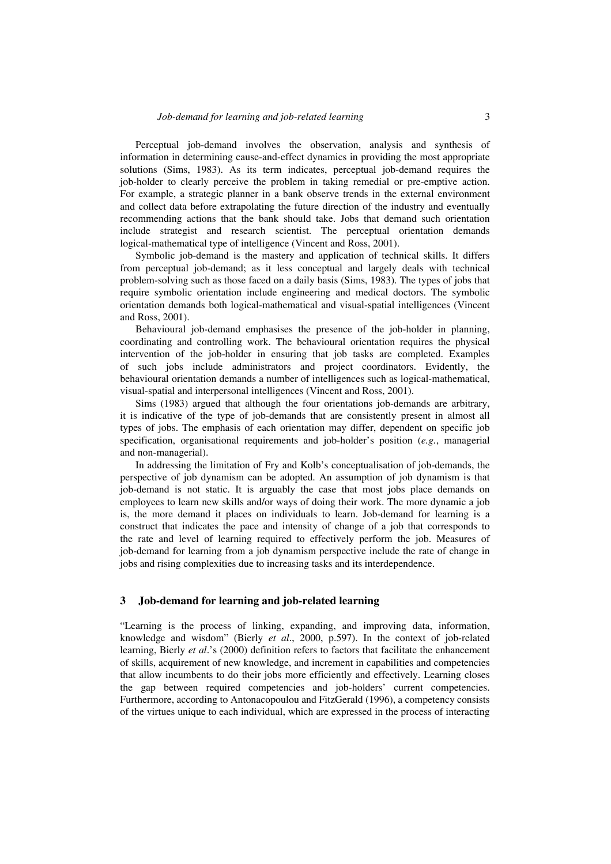Perceptual job-demand involves the observation, analysis and synthesis of information in determining cause-and-effect dynamics in providing the most appropriate solutions (Sims, 1983). As its term indicates, perceptual job-demand requires the job-holder to clearly perceive the problem in taking remedial or pre-emptive action. For example, a strategic planner in a bank observe trends in the external environment and collect data before extrapolating the future direction of the industry and eventually recommending actions that the bank should take. Jobs that demand such orientation include strategist and research scientist. The perceptual orientation demands logical-mathematical type of intelligence (Vincent and Ross, 2001).

Symbolic job-demand is the mastery and application of technical skills. It differs from perceptual job-demand; as it less conceptual and largely deals with technical problem-solving such as those faced on a daily basis (Sims, 1983). The types of jobs that require symbolic orientation include engineering and medical doctors. The symbolic orientation demands both logical-mathematical and visual-spatial intelligences (Vincent and Ross, 2001).

Behavioural job-demand emphasises the presence of the job-holder in planning, coordinating and controlling work. The behavioural orientation requires the physical intervention of the job-holder in ensuring that job tasks are completed. Examples of such jobs include administrators and project coordinators. Evidently, the behavioural orientation demands a number of intelligences such as logical-mathematical, visual-spatial and interpersonal intelligences (Vincent and Ross, 2001).

Sims (1983) argued that although the four orientations job-demands are arbitrary, it is indicative of the type of job-demands that are consistently present in almost all types of jobs. The emphasis of each orientation may differ, dependent on specific job specification, organisational requirements and job-holder's position (*e.g.*, managerial and non-managerial).

In addressing the limitation of Fry and Kolb's conceptualisation of job-demands, the perspective of job dynamism can be adopted. An assumption of job dynamism is that job-demand is not static. It is arguably the case that most jobs place demands on employees to learn new skills and/or ways of doing their work. The more dynamic a job is, the more demand it places on individuals to learn. Job-demand for learning is a construct that indicates the pace and intensity of change of a job that corresponds to the rate and level of learning required to effectively perform the job. Measures of job-demand for learning from a job dynamism perspective include the rate of change in jobs and rising complexities due to increasing tasks and its interdependence.

#### **3 Job-demand for learning and job-related learning**

"Learning is the process of linking, expanding, and improving data, information, knowledge and wisdom" (Bierly *et al*., 2000, p.597). In the context of job-related learning, Bierly *et al*.'s (2000) definition refers to factors that facilitate the enhancement of skills, acquirement of new knowledge, and increment in capabilities and competencies that allow incumbents to do their jobs more efficiently and effectively. Learning closes the gap between required competencies and job-holders' current competencies. Furthermore, according to Antonacopoulou and FitzGerald (1996), a competency consists of the virtues unique to each individual, which are expressed in the process of interacting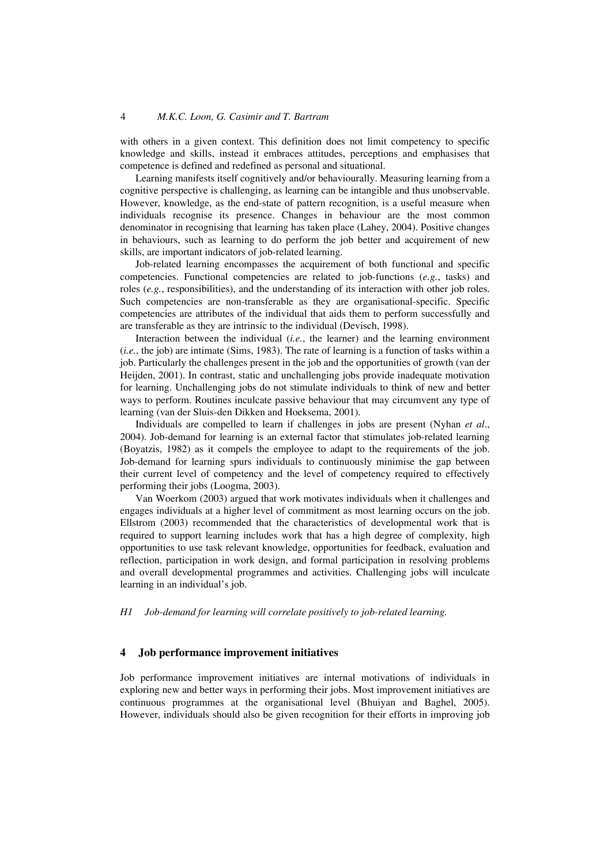## 4 *M.K.C. Loon, G. Casimir and T. Bartram*

with others in a given context. This definition does not limit competency to specific knowledge and skills, instead it embraces attitudes, perceptions and emphasises that competence is defined and redefined as personal and situational.

Learning manifests itself cognitively and/or behaviourally. Measuring learning from a cognitive perspective is challenging, as learning can be intangible and thus unobservable. However, knowledge, as the end-state of pattern recognition, is a useful measure when individuals recognise its presence. Changes in behaviour are the most common denominator in recognising that learning has taken place (Lahey, 2004). Positive changes in behaviours, such as learning to do perform the job better and acquirement of new skills, are important indicators of job-related learning.

Job-related learning encompasses the acquirement of both functional and specific competencies. Functional competencies are related to job-functions (*e.g.*, tasks) and roles (*e.g.*, responsibilities), and the understanding of its interaction with other job roles. Such competencies are non-transferable as they are organisational-specific. Specific competencies are attributes of the individual that aids them to perform successfully and are transferable as they are intrinsic to the individual (Devisch, 1998).

Interaction between the individual (*i.e.*, the learner) and the learning environment (*i.e.*, the job) are intimate (Sims, 1983). The rate of learning is a function of tasks within a job. Particularly the challenges present in the job and the opportunities of growth (van der Heijden, 2001). In contrast, static and unchallenging jobs provide inadequate motivation for learning. Unchallenging jobs do not stimulate individuals to think of new and better ways to perform. Routines inculcate passive behaviour that may circumvent any type of learning (van der Sluis-den Dikken and Hoeksema, 2001).

Individuals are compelled to learn if challenges in jobs are present (Nyhan *et al*., 2004). Job-demand for learning is an external factor that stimulates job-related learning (Boyatzis, 1982) as it compels the employee to adapt to the requirements of the job. Job-demand for learning spurs individuals to continuously minimise the gap between their current level of competency and the level of competency required to effectively performing their jobs (Loogma, 2003).

Van Woerkom (2003) argued that work motivates individuals when it challenges and engages individuals at a higher level of commitment as most learning occurs on the job. Ellstrom (2003) recommended that the characteristics of developmental work that is required to support learning includes work that has a high degree of complexity, high opportunities to use task relevant knowledge, opportunities for feedback, evaluation and reflection, participation in work design, and formal participation in resolving problems and overall developmental programmes and activities. Challenging jobs will inculcate learning in an individual's job.

*H1 Job-demand for learning will correlate positively to job-related learning.* 

### **4 Job performance improvement initiatives**

Job performance improvement initiatives are internal motivations of individuals in exploring new and better ways in performing their jobs. Most improvement initiatives are continuous programmes at the organisational level (Bhuiyan and Baghel, 2005). However, individuals should also be given recognition for their efforts in improving job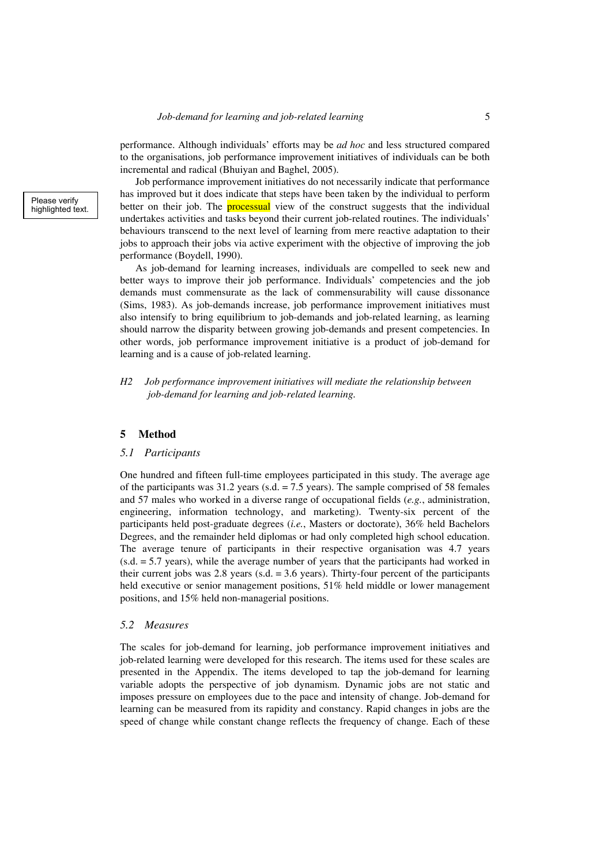performance. Although individuals' efforts may be *ad hoc* and less structured compared to the organisations, job performance improvement initiatives of individuals can be both incremental and radical (Bhuiyan and Baghel, 2005).

Job performance improvement initiatives do not necessarily indicate that performance has improved but it does indicate that steps have been taken by the individual to perform better on their job. The **processual** view of the construct suggests that the individual undertakes activities and tasks beyond their current job-related routines. The individuals' behaviours transcend to the next level of learning from mere reactive adaptation to their jobs to approach their jobs via active experiment with the objective of improving the job performance (Boydell, 1990).

As job-demand for learning increases, individuals are compelled to seek new and better ways to improve their job performance. Individuals' competencies and the job demands must commensurate as the lack of commensurability will cause dissonance (Sims, 1983). As job-demands increase, job performance improvement initiatives must also intensify to bring equilibrium to job-demands and job-related learning, as learning should narrow the disparity between growing job-demands and present competencies. In other words, job performance improvement initiative is a product of job-demand for learning and is a cause of job-related learning.

*H2 Job performance improvement initiatives will mediate the relationship between job-demand for learning and job-related learning.* 

#### **5 Method**

#### *5.1 Participants*

One hundred and fifteen full-time employees participated in this study. The average age of the participants was  $31.2$  years (s.d.  $= 7.5$  years). The sample comprised of 58 females and 57 males who worked in a diverse range of occupational fields (*e.g.*, administration, engineering, information technology, and marketing). Twenty-six percent of the participants held post-graduate degrees (*i.e.*, Masters or doctorate), 36% held Bachelors Degrees, and the remainder held diplomas or had only completed high school education. The average tenure of participants in their respective organisation was 4.7 years  $(s.d. = 5.7$  years), while the average number of years that the participants had worked in their current jobs was  $2.8$  years (s.d.  $= 3.6$  years). Thirty-four percent of the participants held executive or senior management positions, 51% held middle or lower management positions, and 15% held non-managerial positions.

#### *5.2 Measures*

The scales for job-demand for learning, job performance improvement initiatives and job-related learning were developed for this research. The items used for these scales are presented in the Appendix. The items developed to tap the job-demand for learning variable adopts the perspective of job dynamism. Dynamic jobs are not static and imposes pressure on employees due to the pace and intensity of change. Job-demand for learning can be measured from its rapidity and constancy. Rapid changes in jobs are the speed of change while constant change reflects the frequency of change. Each of these

Please verify highlighted text.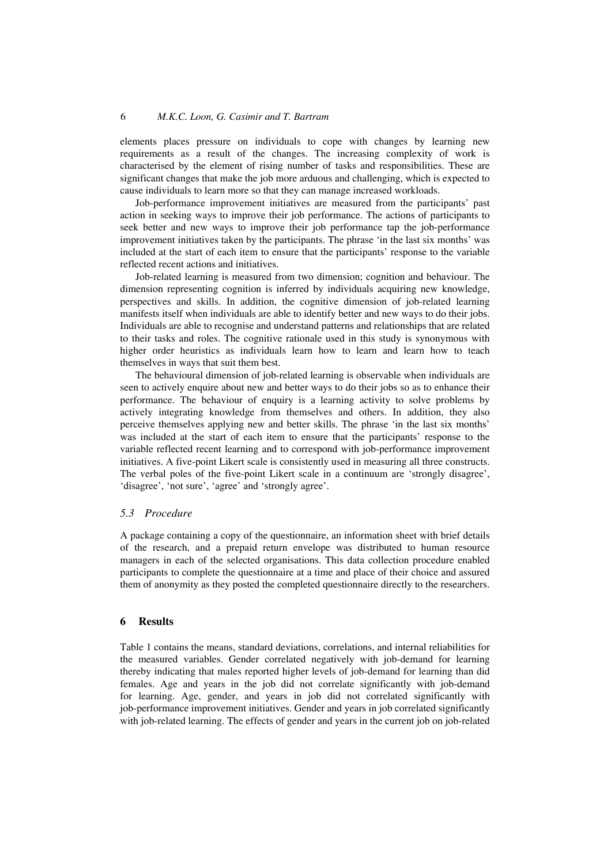## 6 *M.K.C. Loon, G. Casimir and T. Bartram*

elements places pressure on individuals to cope with changes by learning new requirements as a result of the changes. The increasing complexity of work is characterised by the element of rising number of tasks and responsibilities. These are significant changes that make the job more arduous and challenging, which is expected to cause individuals to learn more so that they can manage increased workloads.

Job-performance improvement initiatives are measured from the participants' past action in seeking ways to improve their job performance. The actions of participants to seek better and new ways to improve their job performance tap the job-performance improvement initiatives taken by the participants. The phrase 'in the last six months' was included at the start of each item to ensure that the participants' response to the variable reflected recent actions and initiatives.

Job-related learning is measured from two dimension; cognition and behaviour. The dimension representing cognition is inferred by individuals acquiring new knowledge, perspectives and skills. In addition, the cognitive dimension of job-related learning manifests itself when individuals are able to identify better and new ways to do their jobs. Individuals are able to recognise and understand patterns and relationships that are related to their tasks and roles. The cognitive rationale used in this study is synonymous with higher order heuristics as individuals learn how to learn and learn how to teach themselves in ways that suit them best.

The behavioural dimension of job-related learning is observable when individuals are seen to actively enquire about new and better ways to do their jobs so as to enhance their performance. The behaviour of enquiry is a learning activity to solve problems by actively integrating knowledge from themselves and others. In addition, they also perceive themselves applying new and better skills. The phrase 'in the last six months' was included at the start of each item to ensure that the participants' response to the variable reflected recent learning and to correspond with job-performance improvement initiatives. A five-point Likert scale is consistently used in measuring all three constructs. The verbal poles of the five-point Likert scale in a continuum are 'strongly disagree', 'disagree', 'not sure', 'agree' and 'strongly agree'.

#### *5.3 Procedure*

A package containing a copy of the questionnaire, an information sheet with brief details of the research, and a prepaid return envelope was distributed to human resource managers in each of the selected organisations. This data collection procedure enabled participants to complete the questionnaire at a time and place of their choice and assured them of anonymity as they posted the completed questionnaire directly to the researchers.

#### **6 Results**

Table 1 contains the means, standard deviations, correlations, and internal reliabilities for the measured variables. Gender correlated negatively with job-demand for learning thereby indicating that males reported higher levels of job-demand for learning than did females. Age and years in the job did not correlate significantly with job-demand for learning. Age, gender, and years in job did not correlated significantly with job-performance improvement initiatives. Gender and years in job correlated significantly with job-related learning. The effects of gender and years in the current job on job-related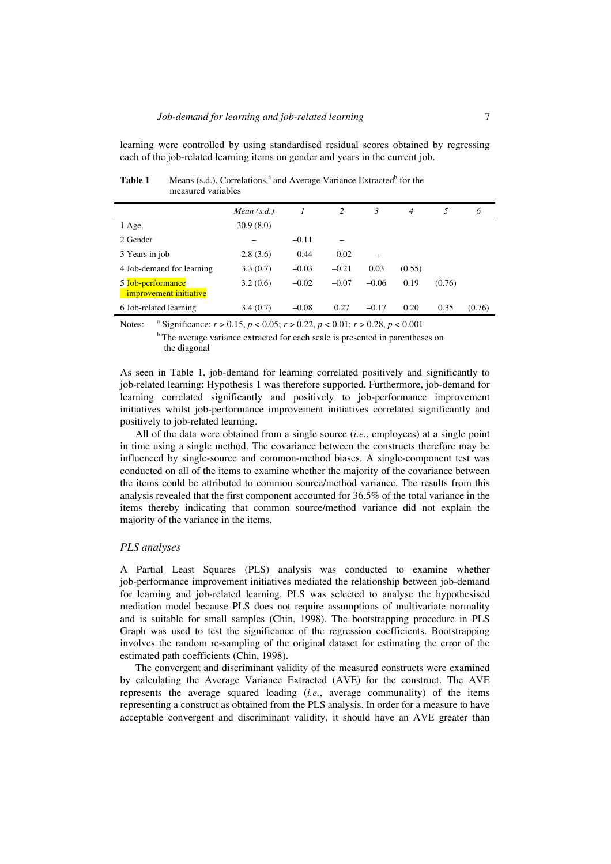learning were controlled by using standardised residual scores obtained by regressing each of the job-related learning items on gender and years in the current job.

|                                             | Mean $(s.d.)$ |         | 2       | 3       | $\overline{4}$ | .5     | 6      |
|---------------------------------------------|---------------|---------|---------|---------|----------------|--------|--------|
| 1 Age                                       | 30.9(8.0)     |         |         |         |                |        |        |
| 2 Gender                                    |               | $-0.11$ |         |         |                |        |        |
| 3 Years in job                              | 2.8(3.6)      | 0.44    | $-0.02$ |         |                |        |        |
| 4 Job-demand for learning                   | 3.3(0.7)      | $-0.03$ | $-0.21$ | 0.03    | (0.55)         |        |        |
| 5 Job-performance<br>improvement initiative | 3.2(0.6)      | $-0.02$ | $-0.07$ | $-0.06$ | 0.19           | (0.76) |        |
| 6 Job-related learning                      | 3.4(0.7)      | $-0.08$ | 0.27    | $-0.17$ | 0.20           | 0.35   | (0.76) |

Table 1 Means (s.d.), Correlations,<sup>a</sup> and Average Variance Extracted<sup>b</sup> for the measured variables

Notes: <sup>a</sup> Significance:  $r > 0.15$ ,  $p < 0.05$ ;  $r > 0.22$ ,  $p < 0.01$ ;  $r > 0.28$ ,  $p < 0.001$ 

<sup>b</sup> The average variance extracted for each scale is presented in parentheses on the diagonal

As seen in Table 1, job-demand for learning correlated positively and significantly to job-related learning: Hypothesis 1 was therefore supported. Furthermore, job-demand for learning correlated significantly and positively to job-performance improvement initiatives whilst job-performance improvement initiatives correlated significantly and positively to job-related learning.

All of the data were obtained from a single source (*i.e.*, employees) at a single point in time using a single method. The covariance between the constructs therefore may be influenced by single-source and common-method biases. A single-component test was conducted on all of the items to examine whether the majority of the covariance between the items could be attributed to common source/method variance. The results from this analysis revealed that the first component accounted for 36.5% of the total variance in the items thereby indicating that common source/method variance did not explain the majority of the variance in the items.

### *PLS analyses*

A Partial Least Squares (PLS) analysis was conducted to examine whether job-performance improvement initiatives mediated the relationship between job-demand for learning and job-related learning. PLS was selected to analyse the hypothesised mediation model because PLS does not require assumptions of multivariate normality and is suitable for small samples (Chin, 1998). The bootstrapping procedure in PLS Graph was used to test the significance of the regression coefficients. Bootstrapping involves the random re-sampling of the original dataset for estimating the error of the estimated path coefficients (Chin, 1998).

The convergent and discriminant validity of the measured constructs were examined by calculating the Average Variance Extracted (AVE) for the construct. The AVE represents the average squared loading (*i.e.*, average communality) of the items representing a construct as obtained from the PLS analysis. In order for a measure to have acceptable convergent and discriminant validity, it should have an AVE greater than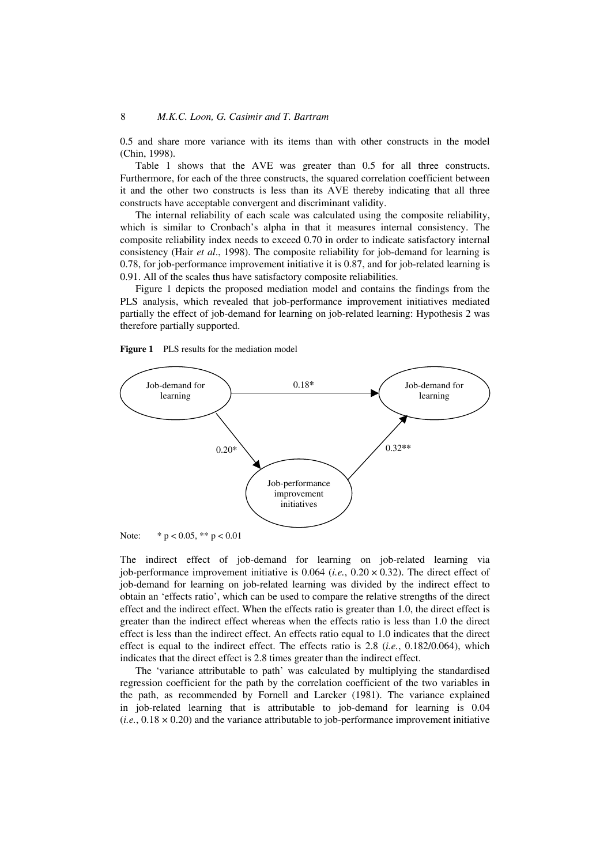0.5 and share more variance with its items than with other constructs in the model (Chin, 1998).

Table 1 shows that the AVE was greater than 0.5 for all three constructs. Furthermore, for each of the three constructs, the squared correlation coefficient between it and the other two constructs is less than its AVE thereby indicating that all three constructs have acceptable convergent and discriminant validity.

The internal reliability of each scale was calculated using the composite reliability, which is similar to Cronbach's alpha in that it measures internal consistency. The composite reliability index needs to exceed 0.70 in order to indicate satisfactory internal consistency (Hair *et al*., 1998). The composite reliability for job-demand for learning is 0.78, for job-performance improvement initiative it is 0.87, and for job-related learning is 0.91. All of the scales thus have satisfactory composite reliabilities.

Figure 1 depicts the proposed mediation model and contains the findings from the PLS analysis, which revealed that job-performance improvement initiatives mediated partially the effect of job-demand for learning on job-related learning: Hypothesis 2 was therefore partially supported.

**Figure 1** PLS results for the mediation model



Note:  $* p < 0.05, ** p < 0.01$ 

The indirect effect of job-demand for learning on job-related learning via job-performance improvement initiative is  $0.064$  (*i.e.*,  $0.20 \times 0.32$ ). The direct effect of job-demand for learning on job-related learning was divided by the indirect effect to obtain an 'effects ratio', which can be used to compare the relative strengths of the direct effect and the indirect effect. When the effects ratio is greater than 1.0, the direct effect is greater than the indirect effect whereas when the effects ratio is less than 1.0 the direct effect is less than the indirect effect. An effects ratio equal to 1.0 indicates that the direct effect is equal to the indirect effect. The effects ratio is 2.8 (*i.e.*, 0.182/0.064), which indicates that the direct effect is 2.8 times greater than the indirect effect.

The 'variance attributable to path' was calculated by multiplying the standardised regression coefficient for the path by the correlation coefficient of the two variables in the path, as recommended by Fornell and Larcker (1981). The variance explained in job-related learning that is attributable to job-demand for learning is 0.04  $(i.e., 0.18 \times 0.20)$  and the variance attributable to job-performance improvement initiative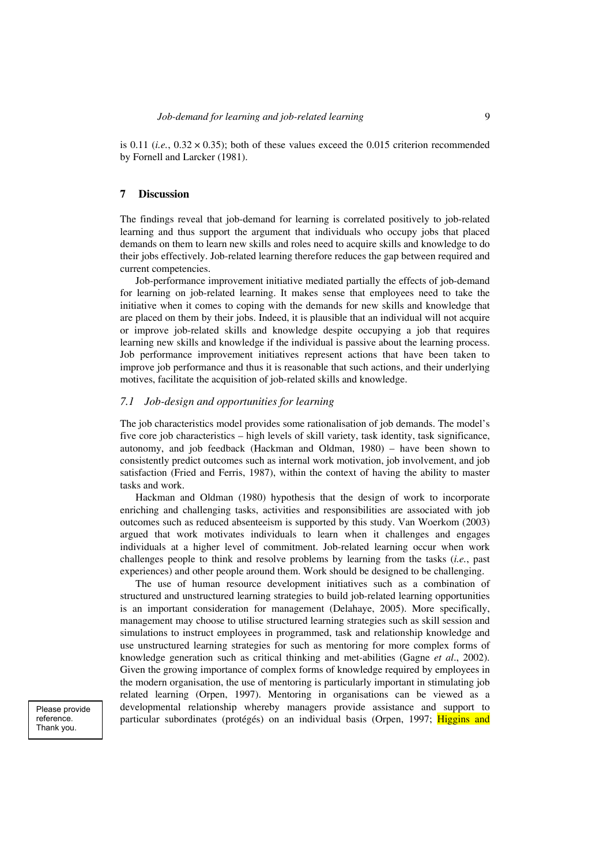is 0.11 (*i.e.*,  $0.32 \times 0.35$ ); both of these values exceed the 0.015 criterion recommended by Fornell and Larcker (1981).

#### **7 Discussion**

The findings reveal that job-demand for learning is correlated positively to job-related learning and thus support the argument that individuals who occupy jobs that placed demands on them to learn new skills and roles need to acquire skills and knowledge to do their jobs effectively. Job-related learning therefore reduces the gap between required and current competencies.

Job-performance improvement initiative mediated partially the effects of job-demand for learning on job-related learning. It makes sense that employees need to take the initiative when it comes to coping with the demands for new skills and knowledge that are placed on them by their jobs. Indeed, it is plausible that an individual will not acquire or improve job-related skills and knowledge despite occupying a job that requires learning new skills and knowledge if the individual is passive about the learning process. Job performance improvement initiatives represent actions that have been taken to improve job performance and thus it is reasonable that such actions, and their underlying motives, facilitate the acquisition of job-related skills and knowledge.

#### *7.1 Job-design and opportunities for learning*

The job characteristics model provides some rationalisation of job demands. The model's five core job characteristics – high levels of skill variety, task identity, task significance, autonomy, and job feedback (Hackman and Oldman, 1980) – have been shown to consistently predict outcomes such as internal work motivation, job involvement, and job satisfaction (Fried and Ferris, 1987), within the context of having the ability to master tasks and work.

Hackman and Oldman (1980) hypothesis that the design of work to incorporate enriching and challenging tasks, activities and responsibilities are associated with job outcomes such as reduced absenteeism is supported by this study. Van Woerkom (2003) argued that work motivates individuals to learn when it challenges and engages individuals at a higher level of commitment. Job-related learning occur when work challenges people to think and resolve problems by learning from the tasks (*i.e.*, past experiences) and other people around them. Work should be designed to be challenging.

The use of human resource development initiatives such as a combination of structured and unstructured learning strategies to build job-related learning opportunities is an important consideration for management (Delahaye, 2005). More specifically, management may choose to utilise structured learning strategies such as skill session and simulations to instruct employees in programmed, task and relationship knowledge and use unstructured learning strategies for such as mentoring for more complex forms of knowledge generation such as critical thinking and met-abilities (Gagne *et al*., 2002). Given the growing importance of complex forms of knowledge required by employees in the modern organisation, the use of mentoring is particularly important in stimulating job related learning (Orpen, 1997). Mentoring in organisations can be viewed as a developmental relationship whereby managers provide assistance and support to particular subordinates (protégés) on an individual basis (Orpen, 1997; Higgins and

Please provide reference. Thank you.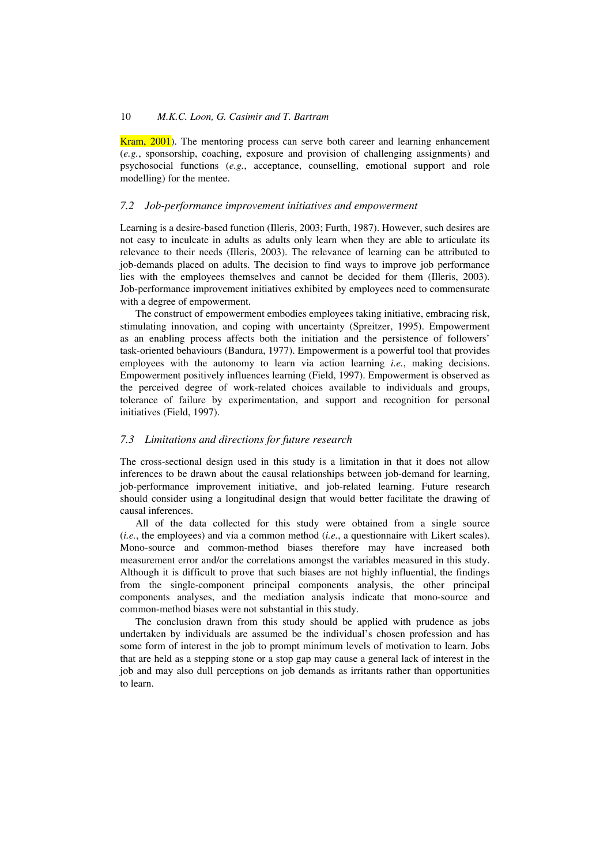## 10 *M.K.C. Loon, G. Casimir and T. Bartram*

Kram, 2001). The mentoring process can serve both career and learning enhancement (*e.g.*, sponsorship, coaching, exposure and provision of challenging assignments) and psychosocial functions (*e.g.*, acceptance, counselling, emotional support and role modelling) for the mentee.

#### *7.2 Job-performance improvement initiatives and empowerment*

Learning is a desire-based function (Illeris, 2003; Furth, 1987). However, such desires are not easy to inculcate in adults as adults only learn when they are able to articulate its relevance to their needs (Illeris, 2003). The relevance of learning can be attributed to job-demands placed on adults. The decision to find ways to improve job performance lies with the employees themselves and cannot be decided for them (Illeris, 2003). Job-performance improvement initiatives exhibited by employees need to commensurate with a degree of empowerment.

The construct of empowerment embodies employees taking initiative, embracing risk, stimulating innovation, and coping with uncertainty (Spreitzer, 1995). Empowerment as an enabling process affects both the initiation and the persistence of followers' task-oriented behaviours (Bandura, 1977). Empowerment is a powerful tool that provides employees with the autonomy to learn via action learning *i.e.*, making decisions. Empowerment positively influences learning (Field, 1997). Empowerment is observed as the perceived degree of work-related choices available to individuals and groups, tolerance of failure by experimentation, and support and recognition for personal initiatives (Field, 1997).

#### *7.3 Limitations and directions for future research*

The cross-sectional design used in this study is a limitation in that it does not allow inferences to be drawn about the causal relationships between job-demand for learning, job-performance improvement initiative, and job-related learning. Future research should consider using a longitudinal design that would better facilitate the drawing of causal inferences.

All of the data collected for this study were obtained from a single source (*i.e.*, the employees) and via a common method (*i.e.*, a questionnaire with Likert scales). Mono-source and common-method biases therefore may have increased both measurement error and/or the correlations amongst the variables measured in this study. Although it is difficult to prove that such biases are not highly influential, the findings from the single-component principal components analysis, the other principal components analyses, and the mediation analysis indicate that mono-source and common-method biases were not substantial in this study.

The conclusion drawn from this study should be applied with prudence as jobs undertaken by individuals are assumed be the individual's chosen profession and has some form of interest in the job to prompt minimum levels of motivation to learn. Jobs that are held as a stepping stone or a stop gap may cause a general lack of interest in the job and may also dull perceptions on job demands as irritants rather than opportunities to learn.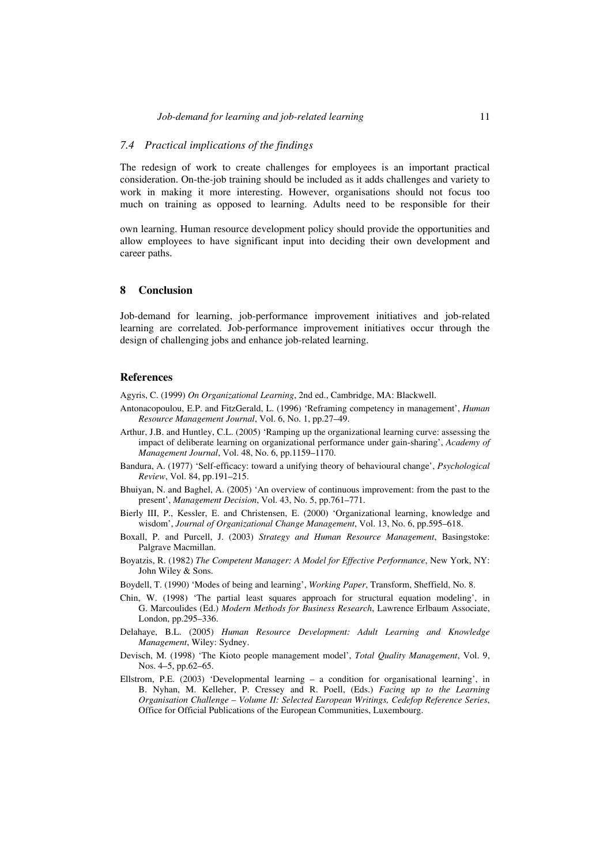#### *7.4 Practical implications of the findings*

The redesign of work to create challenges for employees is an important practical consideration. On-the-job training should be included as it adds challenges and variety to work in making it more interesting. However, organisations should not focus too much on training as opposed to learning. Adults need to be responsible for their

own learning. Human resource development policy should provide the opportunities and allow employees to have significant input into deciding their own development and career paths.

#### **8 Conclusion**

Job-demand for learning, job-performance improvement initiatives and job-related learning are correlated. Job-performance improvement initiatives occur through the design of challenging jobs and enhance job-related learning.

### **References**

Agyris, C. (1999) *On Organizational Learning*, 2nd ed., Cambridge, MA: Blackwell.

- Antonacopoulou, E.P. and FitzGerald, L. (1996) 'Reframing competency in management', *Human Resource Management Journal*, Vol. 6, No. 1, pp.27–49.
- Arthur, J.B. and Huntley, C.L. (2005) 'Ramping up the organizational learning curve: assessing the impact of deliberate learning on organizational performance under gain-sharing', *Academy of Management Journal*, Vol. 48, No. 6, pp.1159–1170.
- Bandura, A. (1977) 'Self-efficacy: toward a unifying theory of behavioural change', *Psychological Review*, Vol. 84, pp.191–215.
- Bhuiyan, N. and Baghel, A. (2005) 'An overview of continuous improvement: from the past to the present', *Management Decision*, Vol. 43, No. 5, pp.761–771.
- Bierly III, P., Kessler, E. and Christensen, E. (2000) 'Organizational learning, knowledge and wisdom', *Journal of Organizational Change Management*, Vol. 13, No. 6, pp.595–618.
- Boxall, P. and Purcell, J. (2003) *Strategy and Human Resource Management*, Basingstoke: Palgrave Macmillan.
- Boyatzis, R. (1982) *The Competent Manager: A Model for Effective Performance*, New York, NY: John Wiley & Sons.
- Boydell, T. (1990) 'Modes of being and learning', *Working Paper*, Transform, Sheffield, No. 8.
- Chin, W. (1998) 'The partial least squares approach for structural equation modeling', in G. Marcoulides (Ed.) *Modern Methods for Business Research*, Lawrence Erlbaum Associate, London, pp.295–336.
- Delahaye, B.L. (2005) *Human Resource Development: Adult Learning and Knowledge Management*, Wiley: Sydney.
- Devisch, M. (1998) 'The Kioto people management model', *Total Quality Management*, Vol. 9, Nos. 4–5, pp.62–65.
- Ellstrom, P.E. (2003) 'Developmental learning a condition for organisational learning', in B. Nyhan, M. Kelleher, P. Cressey and R. Poell, (Eds.) *Facing up to the Learning Organisation Challenge – Volume II: Selected European Writings, Cedefop Reference Series*, Office for Official Publications of the European Communities, Luxembourg.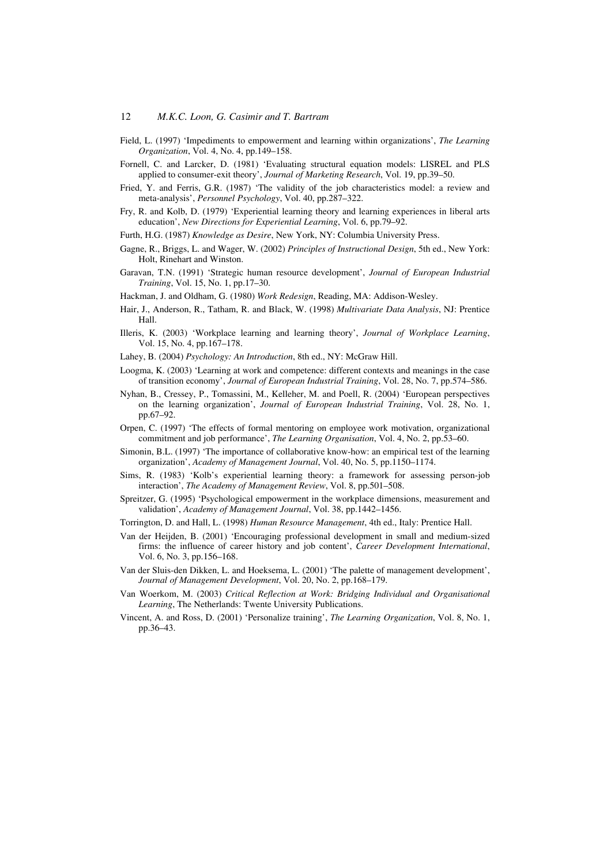- Field, L. (1997) 'Impediments to empowerment and learning within organizations', *The Learning Organization*, Vol. 4, No. 4, pp.149–158.
- Fornell, C. and Larcker, D. (1981) 'Evaluating structural equation models: LISREL and PLS applied to consumer-exit theory', *Journal of Marketing Research*, Vol. 19, pp.39–50.
- Fried, Y. and Ferris, G.R. (1987) 'The validity of the job characteristics model: a review and meta-analysis', *Personnel Psychology*, Vol. 40, pp.287–322.
- Fry, R. and Kolb, D. (1979) 'Experiential learning theory and learning experiences in liberal arts education', *New Directions for Experiential Learning*, Vol. 6, pp.79–92.
- Furth, H.G. (1987) *Knowledge as Desire*, New York, NY: Columbia University Press.
- Gagne, R., Briggs, L. and Wager, W. (2002) *Principles of Instructional Design*, 5th ed., New York: Holt, Rinehart and Winston.
- Garavan, T.N. (1991) 'Strategic human resource development', *Journal of European Industrial Training*, Vol. 15, No. 1, pp.17–30.
- Hackman, J. and Oldham, G. (1980) *Work Redesign*, Reading, MA: Addison-Wesley.
- Hair, J., Anderson, R., Tatham, R. and Black, W. (1998) *Multivariate Data Analysis*, NJ: Prentice Hall.
- Illeris, K. (2003) 'Workplace learning and learning theory', *Journal of Workplace Learning*, Vol. 15, No. 4, pp.167–178.
- Lahey, B. (2004) *Psychology: An Introduction*, 8th ed., NY: McGraw Hill.
- Loogma, K. (2003) 'Learning at work and competence: different contexts and meanings in the case of transition economy', *Journal of European Industrial Training*, Vol. 28, No. 7, pp.574–586.
- Nyhan, B., Cressey, P., Tomassini, M., Kelleher, M. and Poell, R. (2004) 'European perspectives on the learning organization', *Journal of European Industrial Training*, Vol. 28, No. 1, pp.67–92.
- Orpen, C. (1997) 'The effects of formal mentoring on employee work motivation, organizational commitment and job performance', *The Learning Organisation*, Vol. 4, No. 2, pp.53–60.
- Simonin, B.L. (1997) 'The importance of collaborative know-how: an empirical test of the learning organization', *Academy of Management Journal*, Vol. 40, No. 5, pp.1150–1174.
- Sims, R. (1983) 'Kolb's experiential learning theory: a framework for assessing person-job interaction', *The Academy of Management Review*, Vol. 8, pp.501–508.
- Spreitzer, G. (1995) 'Psychological empowerment in the workplace dimensions, measurement and validation', *Academy of Management Journal*, Vol. 38, pp.1442–1456.
- Torrington, D. and Hall, L. (1998) *Human Resource Management*, 4th ed., Italy: Prentice Hall.
- Van der Heijden, B. (2001) 'Encouraging professional development in small and medium-sized firms: the influence of career history and job content', *Career Development International*, Vol. 6, No. 3, pp.156–168.
- Van der Sluis-den Dikken, L. and Hoeksema, L. (2001) 'The palette of management development', *Journal of Management Development*, Vol. 20, No. 2, pp.168–179.
- Van Woerkom, M. (2003) *Critical Reflection at Work: Bridging Individual and Organisational Learning*, The Netherlands: Twente University Publications.
- Vincent, A. and Ross, D. (2001) 'Personalize training', *The Learning Organization*, Vol. 8, No. 1, pp.36–43.